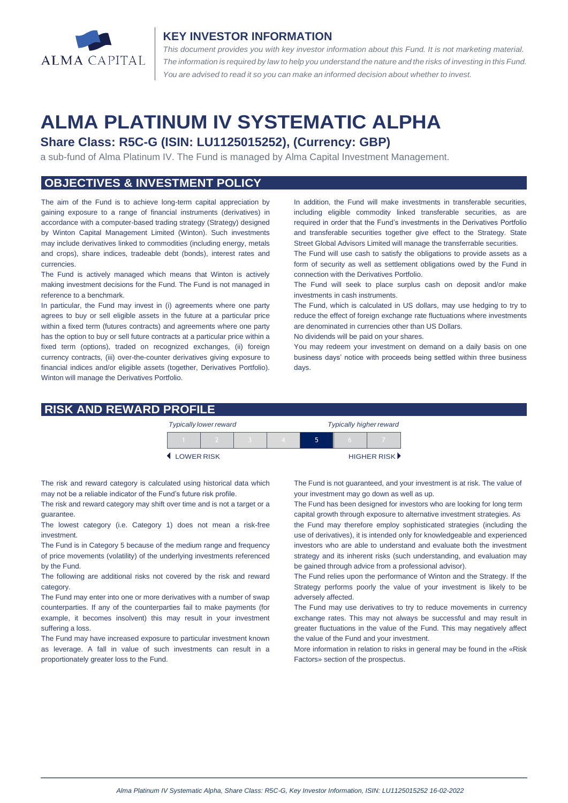

#### **KEY INVESTOR INFORMATION**

*This document provides you with key investor information about this Fund. It is not marketing material.*  The information is required by law to help you understand the nature and the risks of investing in this Fund. *You are advised to read it so you can make an informed decision about whether to invest.*

# **ALMA PLATINUM IV SYSTEMATIC ALPHA**

## **Share Class: R5C-G (ISIN: LU1125015252), (Currency: GBP)**

a sub-fund of Alma Platinum IV. The Fund is managed by Alma Capital Investment Management.

## **OBJECTIVES & INVESTMENT POLICY**

The aim of the Fund is to achieve long-term capital appreciation by gaining exposure to a range of financial instruments (derivatives) in accordance with a computer-based trading strategy (Strategy) designed by Winton Capital Management Limited (Winton). Such investments may include derivatives linked to commodities (including energy, metals and crops), share indices, tradeable debt (bonds), interest rates and currencies.

The Fund is actively managed which means that Winton is actively making investment decisions for the Fund. The Fund is not managed in reference to a benchmark.

In particular, the Fund may invest in (i) agreements where one party agrees to buy or sell eligible assets in the future at a particular price within a fixed term (futures contracts) and agreements where one party has the option to buy or sell future contracts at a particular price within a fixed term (options), traded on recognized exchanges, (ii) foreign currency contracts, (iii) over-the-counter derivatives giving exposure to financial indices and/or eligible assets (together, Derivatives Portfolio). Winton will manage the Derivatives Portfolio.

In addition, the Fund will make investments in transferable securities, including eligible commodity linked transferable securities, as are required in order that the Fund's investments in the Derivatives Portfolio and transferable securities together give effect to the Strategy. State Street Global Advisors Limited will manage the transferrable securities.

The Fund will use cash to satisfy the obligations to provide assets as a form of security as well as settlement obligations owed by the Fund in connection with the Derivatives Portfolio.

The Fund will seek to place surplus cash on deposit and/or make investments in cash instruments.

The Fund, which is calculated in US dollars, may use hedging to try to reduce the effect of foreign exchange rate fluctuations where investments are denominated in currencies other than US Dollars.

No dividends will be paid on your shares.

You may redeem your investment on demand on a daily basis on one business days' notice with proceeds being settled within three business days.

#### **RISK AND REWARD PROFILE**

|                     | <b>Typically lower reward</b> |  | <b>Typically higher reward</b> |  |  |                      |
|---------------------|-------------------------------|--|--------------------------------|--|--|----------------------|
|                     |                               |  |                                |  |  |                      |
| <b>4 LOWER RISK</b> |                               |  |                                |  |  | <b>HIGHER RISK</b> ▶ |

The risk and reward category is calculated using historical data which may not be a reliable indicator of the Fund's future risk profile.

The risk and reward category may shift over time and is not a target or a guarantee.

The lowest category (i.e. Category 1) does not mean a risk-free investment.

The Fund is in Category 5 because of the medium range and frequency of price movements (volatility) of the underlying investments referenced by the Fund.

The following are additional risks not covered by the risk and reward category.

The Fund may enter into one or more derivatives with a number of swap counterparties. If any of the counterparties fail to make payments (for example, it becomes insolvent) this may result in your investment suffering a loss.

The Fund may have increased exposure to particular investment known as leverage. A fall in value of such investments can result in a proportionately greater loss to the Fund.

The Fund is not guaranteed, and your investment is at risk. The value of your investment may go down as well as up.

The Fund has been designed for investors who are looking for long term capital growth through exposure to alternative investment strategies. As

the Fund may therefore employ sophisticated strategies (including the use of derivatives), it is intended only for knowledgeable and experienced investors who are able to understand and evaluate both the investment strategy and its inherent risks (such understanding, and evaluation may be gained through advice from a professional advisor).

The Fund relies upon the performance of Winton and the Strategy. If the Strategy performs poorly the value of your investment is likely to be adversely affected.

The Fund may use derivatives to try to reduce movements in currency exchange rates. This may not always be successful and may result in greater fluctuations in the value of the Fund. This may negatively affect the value of the Fund and your investment.

More information in relation to risks in general may be found in the «Risk Factors» section of the prospectus.